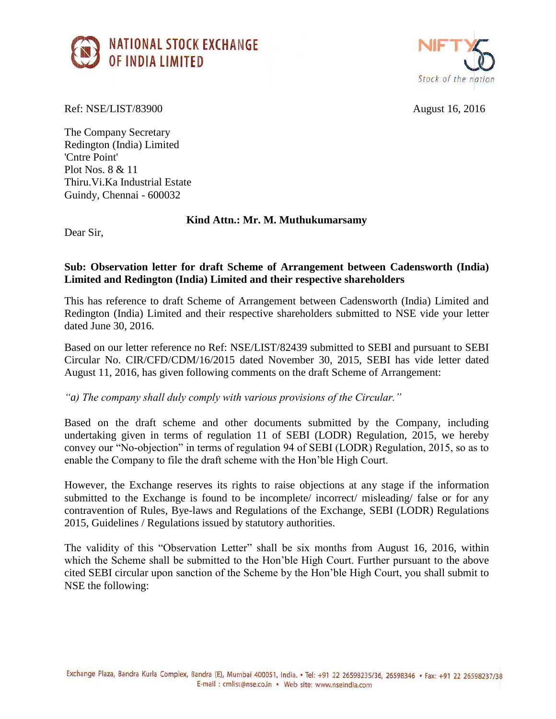



Ref: NSE/LIST/83900 August 16, 2016

The Company Secretary Redington (India) Limited 'Cntre Point' Plot Nos. 8 & 11 Thiru.Vi.Ka Industrial Estate Guindy, Chennai - 600032

## **Kind Attn.: Mr. M. Muthukumarsamy**

Dear Sir,

## **Sub: Observation letter for draft Scheme of Arrangement between Cadensworth (India) Limited and Redington (India) Limited and their respective shareholders**

This has reference to draft Scheme of Arrangement between Cadensworth (India) Limited and Redington (India) Limited and their respective shareholders submitted to NSE vide your letter dated June 30, 2016.

Based on our letter reference no Ref: NSE/LIST/82439 submitted to SEBI and pursuant to SEBI Circular No. CIR/CFD/CDM/16/2015 dated November 30, 2015, SEBI has vide letter dated August 11, 2016, has given following comments on the draft Scheme of Arrangement:

*"a) The company shall duly comply with various provisions of the Circular."*

Based on the draft scheme and other documents submitted by the Company, including undertaking given in terms of regulation 11 of SEBI (LODR) Regulation, 2015, we hereby convey our "No-objection" in terms of regulation 94 of SEBI (LODR) Regulation, 2015, so as to enable the Company to file the draft scheme with the Hon'ble High Court.

However, the Exchange reserves its rights to raise objections at any stage if the information submitted to the Exchange is found to be incomplete/ incorrect/ misleading/ false or for any contravention of Rules, Bye-laws and Regulations of the Exchange, SEBI (LODR) Regulations 2015, Guidelines / Regulations issued by statutory authorities.

The validity of this "Observation Letter" shall be six months from August 16, 2016, within which the Scheme shall be submitted to the Hon'ble High Court. Further pursuant to the above cited SEBI circular upon sanction of the Scheme by the Hon'ble High Court, you shall submit to NSE the following: